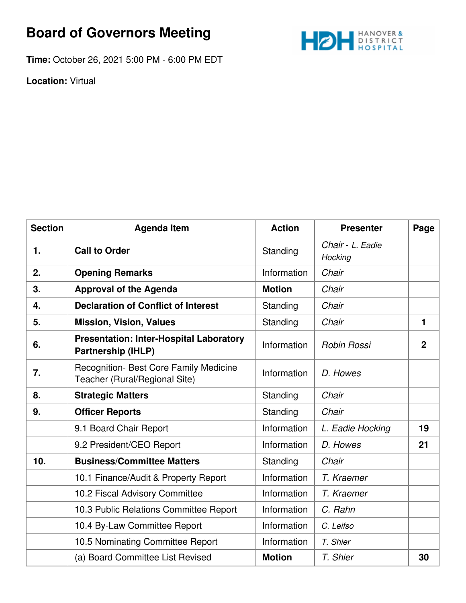## **Board of Governors Meeting**



**Time:** October 26, 2021 5:00 PM - 6:00 PM EDT

**Location:** Virtual

| <b>Section</b> | <b>Agenda Item</b>                                                             | <b>Action</b> | <b>Presenter</b>            | Page           |
|----------------|--------------------------------------------------------------------------------|---------------|-----------------------------|----------------|
| 1.             | <b>Call to Order</b>                                                           | Standing      | Chair - L. Eadie<br>Hocking |                |
| 2.             | <b>Opening Remarks</b>                                                         | Information   | Chair                       |                |
| 3.             | <b>Approval of the Agenda</b>                                                  | <b>Motion</b> | Chair                       |                |
| 4.             | <b>Declaration of Conflict of Interest</b>                                     | Standing      | Chair                       |                |
| 5.             | <b>Mission, Vision, Values</b>                                                 | Standing      | Chair                       | 1              |
| 6.             | <b>Presentation: Inter-Hospital Laboratory</b><br><b>Partnership (IHLP)</b>    | Information   | <b>Robin Rossi</b>          | $\overline{2}$ |
| 7.             | <b>Recognition- Best Core Family Medicine</b><br>Teacher (Rural/Regional Site) | Information   | D. Howes                    |                |
| 8.             | <b>Strategic Matters</b>                                                       | Standing      | Chair                       |                |
| 9.             | <b>Officer Reports</b>                                                         | Standing      | Chair                       |                |
|                | 9.1 Board Chair Report                                                         | Information   | L. Eadie Hocking            | 19             |
|                | 9.2 President/CEO Report                                                       | Information   | D. Howes                    | 21             |
| 10.            | <b>Business/Committee Matters</b>                                              | Standing      | Chair                       |                |
|                | 10.1 Finance/Audit & Property Report                                           | Information   | T. Kraemer                  |                |
|                | 10.2 Fiscal Advisory Committee                                                 | Information   | T. Kraemer                  |                |
|                | 10.3 Public Relations Committee Report                                         | Information   | C. Rahn                     |                |
|                | 10.4 By-Law Committee Report                                                   | Information   | C. Leifso                   |                |
|                | 10.5 Nominating Committee Report                                               | Information   | T. Shier                    |                |
|                | (a) Board Committee List Revised                                               | <b>Motion</b> | T. Shier                    | 30             |